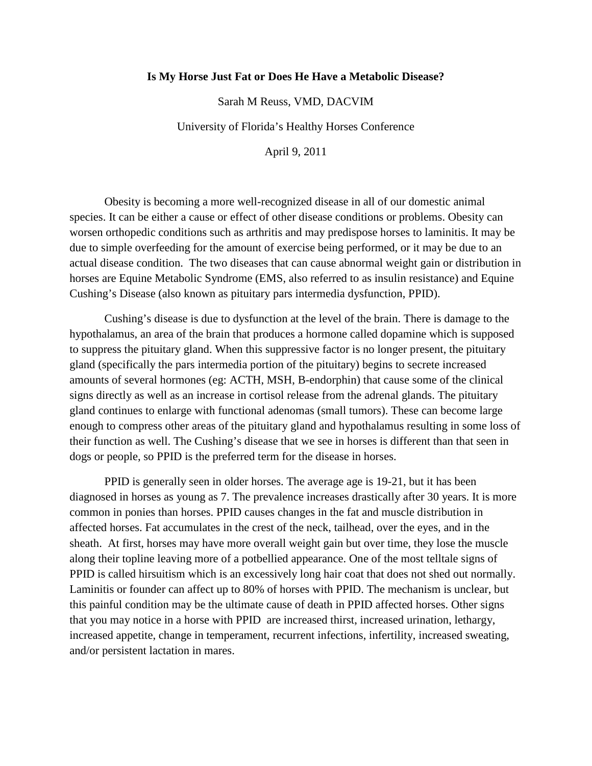## **Is My Horse Just Fat or Does He Have a Metabolic Disease?**

Sarah M Reuss, VMD, DACVIM

University of Florida's Healthy Horses Conference

April 9, 2011

Obesity is becoming a more well-recognized disease in all of our domestic animal species. It can be either a cause or effect of other disease conditions or problems. Obesity can worsen orthopedic conditions such as arthritis and may predispose horses to laminitis. It may be due to simple overfeeding for the amount of exercise being performed, or it may be due to an actual disease condition. The two diseases that can cause abnormal weight gain or distribution in horses are Equine Metabolic Syndrome (EMS, also referred to as insulin resistance) and Equine Cushing's Disease (also known as pituitary pars intermedia dysfunction, PPID).

Cushing's disease is due to dysfunction at the level of the brain. There is damage to the hypothalamus, an area of the brain that produces a hormone called dopamine which is supposed to suppress the pituitary gland. When this suppressive factor is no longer present, the pituitary gland (specifically the pars intermedia portion of the pituitary) begins to secrete increased amounts of several hormones (eg: ACTH, MSH, B-endorphin) that cause some of the clinical signs directly as well as an increase in cortisol release from the adrenal glands. The pituitary gland continues to enlarge with functional adenomas (small tumors). These can become large enough to compress other areas of the pituitary gland and hypothalamus resulting in some loss of their function as well. The Cushing's disease that we see in horses is different than that seen in dogs or people, so PPID is the preferred term for the disease in horses.

PPID is generally seen in older horses. The average age is 19-21, but it has been diagnosed in horses as young as 7. The prevalence increases drastically after 30 years. It is more common in ponies than horses. PPID causes changes in the fat and muscle distribution in affected horses. Fat accumulates in the crest of the neck, tailhead, over the eyes, and in the sheath. At first, horses may have more overall weight gain but over time, they lose the muscle along their topline leaving more of a potbellied appearance. One of the most telltale signs of PPID is called hirsuitism which is an excessively long hair coat that does not shed out normally. Laminitis or founder can affect up to 80% of horses with PPID. The mechanism is unclear, but this painful condition may be the ultimate cause of death in PPID affected horses. Other signs that you may notice in a horse with PPID are increased thirst, increased urination, lethargy, increased appetite, change in temperament, recurrent infections, infertility, increased sweating, and/or persistent lactation in mares.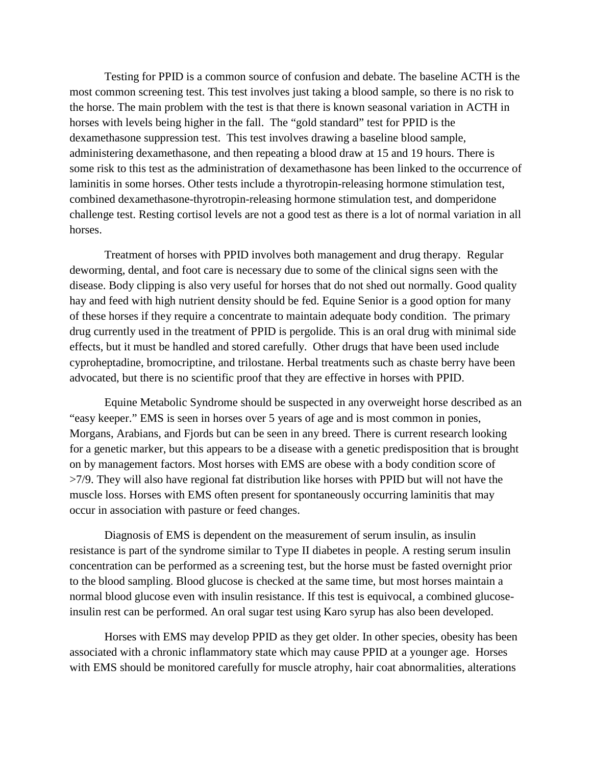Testing for PPID is a common source of confusion and debate. The baseline ACTH is the most common screening test. This test involves just taking a blood sample, so there is no risk to the horse. The main problem with the test is that there is known seasonal variation in ACTH in horses with levels being higher in the fall. The "gold standard" test for PPID is the dexamethasone suppression test. This test involves drawing a baseline blood sample, administering dexamethasone, and then repeating a blood draw at 15 and 19 hours. There is some risk to this test as the administration of dexamethasone has been linked to the occurrence of laminitis in some horses. Other tests include a thyrotropin-releasing hormone stimulation test, combined dexamethasone-thyrotropin-releasing hormone stimulation test, and domperidone challenge test. Resting cortisol levels are not a good test as there is a lot of normal variation in all horses.

Treatment of horses with PPID involves both management and drug therapy. Regular deworming, dental, and foot care is necessary due to some of the clinical signs seen with the disease. Body clipping is also very useful for horses that do not shed out normally. Good quality hay and feed with high nutrient density should be fed. Equine Senior is a good option for many of these horses if they require a concentrate to maintain adequate body condition. The primary drug currently used in the treatment of PPID is pergolide. This is an oral drug with minimal side effects, but it must be handled and stored carefully. Other drugs that have been used include cyproheptadine, bromocriptine, and trilostane. Herbal treatments such as chaste berry have been advocated, but there is no scientific proof that they are effective in horses with PPID.

Equine Metabolic Syndrome should be suspected in any overweight horse described as an "easy keeper." EMS is seen in horses over 5 years of age and is most common in ponies, Morgans, Arabians, and Fjords but can be seen in any breed. There is current research looking for a genetic marker, but this appears to be a disease with a genetic predisposition that is brought on by management factors. Most horses with EMS are obese with a body condition score of >7/9. They will also have regional fat distribution like horses with PPID but will not have the muscle loss. Horses with EMS often present for spontaneously occurring laminitis that may occur in association with pasture or feed changes.

Diagnosis of EMS is dependent on the measurement of serum insulin, as insulin resistance is part of the syndrome similar to Type II diabetes in people. A resting serum insulin concentration can be performed as a screening test, but the horse must be fasted overnight prior to the blood sampling. Blood glucose is checked at the same time, but most horses maintain a normal blood glucose even with insulin resistance. If this test is equivocal, a combined glucoseinsulin rest can be performed. An oral sugar test using Karo syrup has also been developed.

Horses with EMS may develop PPID as they get older. In other species, obesity has been associated with a chronic inflammatory state which may cause PPID at a younger age. Horses with EMS should be monitored carefully for muscle atrophy, hair coat abnormalities, alterations